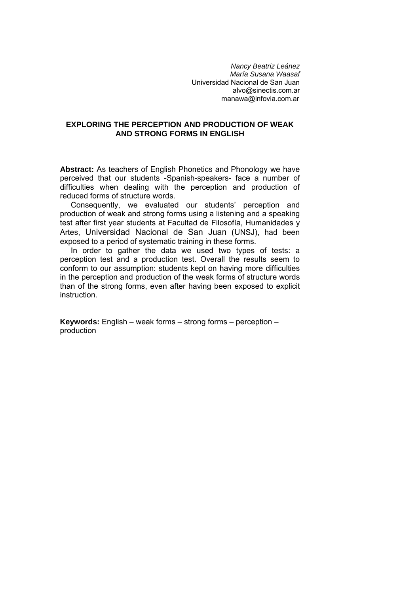*Nancy Beatriz Leánez María Susana Waasaf*  Universidad Nacional de San Juan [alvo@sinectis.com.ar](mailto:alvo@sinectis.com.ar) [manawa@infovia.com.ar](mailto:manawa@infovia.com.ar)

### **EXPLORING THE PERCEPTION AND PRODUCTION OF WEAK AND STRONG FORMS IN ENGLISH**

**Abstract:** As teachers of English Phonetics and Phonology we have perceived that our students -Spanish-speakers- face a number of difficulties when dealing with the perception and production of reduced forms of structure words.

 Consequently, we evaluated our students' perception and production of weak and strong forms using a listening and a speaking test after first year students at Facultad de Filosofía, Humanidades y Artes, Universidad Nacional de San Juan (UNSJ), had been exposed to a period of systematic training in these forms.

 In order to gather the data we used two types of tests: a perception test and a production test. Overall the results seem to conform to our assumption: students kept on having more difficulties in the perception and production of the weak forms of structure words than of the strong forms, even after having been exposed to explicit instruction.

**Keywords:** English – weak forms – strong forms – perception – production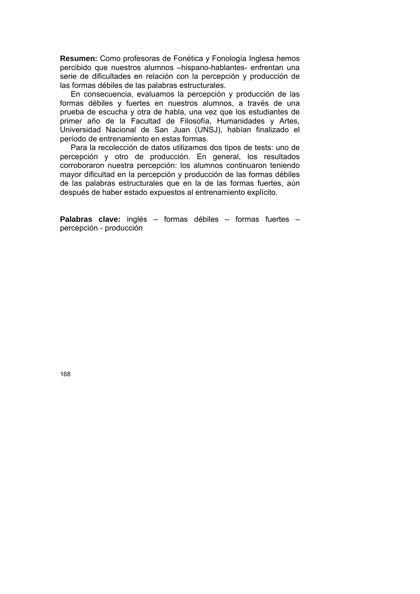**Resumen:** Como profesoras de Fonética y Fonología Inglesa hemos percibido que nuestros alumnos –hispano-hablantes- enfrentan una serie de dificultades en relación con la percepción y producción de las formas débiles de las palabras estructurales.

 En consecuencia, evaluamos la percepción y producción de las formas débiles y fuertes en nuestros alumnos, a través de una prueba de escucha y otra de habla, una vez que los estudiantes de primer año de la Facultad de Filosofía, Humanidades y Artes, Universidad Nacional de San Juan (UNSJ), habían finalizado el período de entrenamiento en estas formas.

 Para la recolección de datos utilizamos dos tipos de tests: uno de percepción y otro de producción. En general, los resultados corroboraron nuestra percepción: los alumnos continuaron teniendo mayor dificultad en la percepción y producción de las formas débiles de las palabras estructurales que en la de las formas fuertes, aún después de haber estado expuestos al entrenamiento explícito.

**Palabras clave:** inglés – formas débiles – formas fuertes – percepción - producción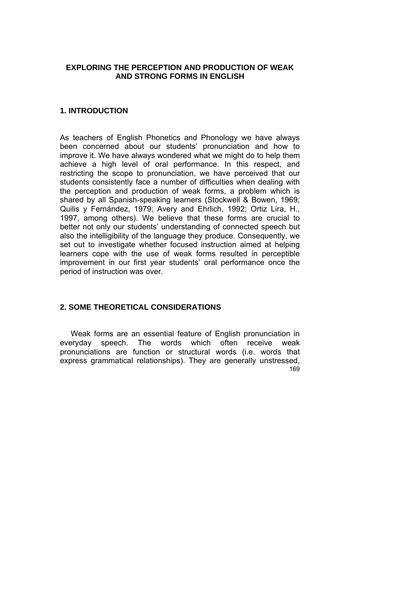#### **EXPLORING THE PERCEPTION AND PRODUCTION OF WEAK AND STRONG FORMS IN ENGLISH**

### **1. INTRODUCTION**

As teachers of English Phonetics and Phonology we have always been concerned about our students' pronunciation and how to improve it. We have always wondered what we might do to help them achieve a high level of oral performance. In this respect, and restricting the scope to pronunciation, we have perceived that our students consistently face a number of difficulties when dealing with the perception and production of weak forms, a problem which is shared by all Spanish-speaking learners (Stockwell & Bowen, 1969; Quilis y Fernández, 1979; Avery and Ehrlich, 1992; Ortiz Lira, H., 1997, among others). We believe that these forms are crucial to better not only our students' understanding of connected speech but also the intelligibility of the language they produce. Consequently, we set out to investigate whether focused instruction aimed at helping learners cope with the use of weak forms resulted in perceptible improvement in our first year students' oral performance once the period of instruction was over.

# **2. SOME THEORETICAL CONSIDERATIONS**

169 Weak forms are an essential feature of English pronunciation in everyday speech. The words which often receive weak pronunciations are function or structural words (i.e. words that express grammatical relationships). They are generally unstressed,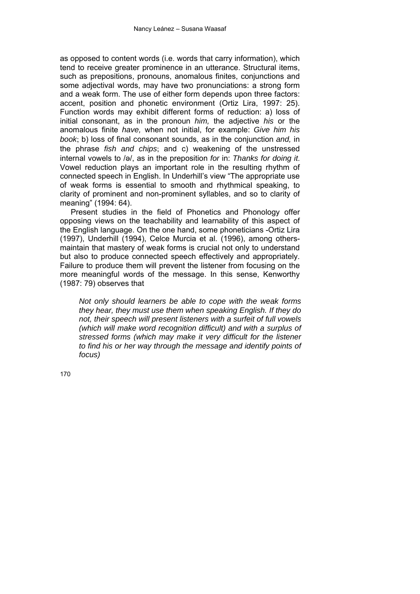as opposed to content words (i.e. words that carry information), which tend to receive greater prominence in an utterance. Structural items, such as prepositions, pronouns, anomalous finites, conjunctions and some adjectival words, may have two pronunciations: a strong form and a weak form. The use of either form depends upon three factors: accent, position and phonetic environment (Ortiz Lira, 1997: 25). Function words may exhibit different forms of reduction: a) loss of initial consonant, as in the pronoun *him,* the adjective *his* or the anomalous finite *have,* when not initial, for example: *Give him his book*; b) loss of final consonant sounds, as in the conjunction *and,* in the phrase *fish and chips*; and c) weakening of the unstressed internal vowels to /ə/, as in the preposition *for* in: *Thanks for doing it*. Vowel reduction plays an important role in the resulting rhythm of connected speech in English. In Underhill's view "The appropriate use of weak forms is essential to smooth and rhythmical speaking, to clarity of prominent and non-prominent syllables, and so to clarity of meaning" (1994: 64).

 Present studies in the field of Phonetics and Phonology offer opposing views on the teachability and learnability of this aspect of the English language. On the one hand, some phoneticians -Ortiz Lira (1997), Underhill (1994), Celce Murcia et al. (1996), among othersmaintain that mastery of weak forms is crucial not only to understand but also to produce connected speech effectively and appropriately. Failure to produce them will prevent the listener from focusing on the more meaningful words of the message. In this sense, Kenworthy (1987: 79) observes that

*Not only should learners be able to cope with the weak forms they hear, they must use them when speaking English. If they do not, their speech will present listeners with a surfeit of full vowels (which will make word recognition difficult) and with a surplus of stressed forms (which may make it very difficult for the listener to find his or her way through the message and identify points of focus)*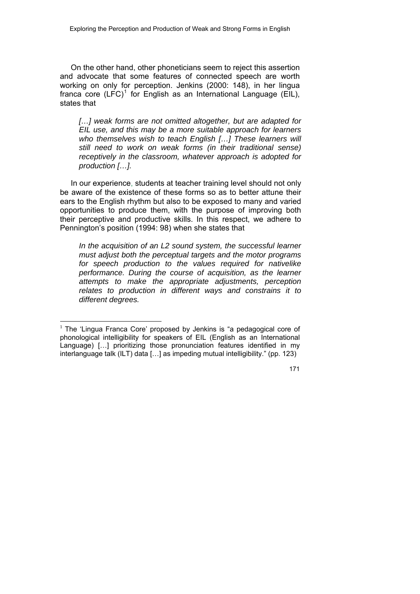On the other hand, other phoneticians seem to reject this assertion and advocate that some features of connected speech are worth working on only for perception. Jenkins (2000: 148), in her lingua franca core  $(LFC)^1$  $(LFC)^1$  for English as an International Language (EIL), states that

*[…] weak forms are not omitted altogether, but are adapted for EIL use, and this may be a more suitable approach for learners who themselves wish to teach English […] These learners will still need to work on weak forms (in their traditional sense) receptively in the classroom, whatever approach is adopted for production […].*

 In our experience, students at teacher training level should not only be aware of the existence of these forms so as to better attune their ears to the English rhythm but also to be exposed to many and varied opportunities to produce them, with the purpose of improving both their perceptive and productive skills. In this respect, we adhere to Pennington's position (1994: 98) when she states that

*In the acquisition of an L2 sound system, the successful learner must adjust both the perceptual targets and the motor programs for speech production to the values required for nativelike performance. During the course of acquisition, as the learner attempts to make the appropriate adjustments, perception relates to production in different ways and constrains it to different degrees.* 

<span id="page-4-0"></span><sup>1</sup>  $1$  The 'Lingua Franca Core' proposed by Jenkins is "a pedagogical core of phonological intelligibility for speakers of EIL (English as an International Language) […] prioritizing those pronunciation features identified in my interlanguage talk (ILT) data […] as impeding mutual intelligibility." (pp. 123)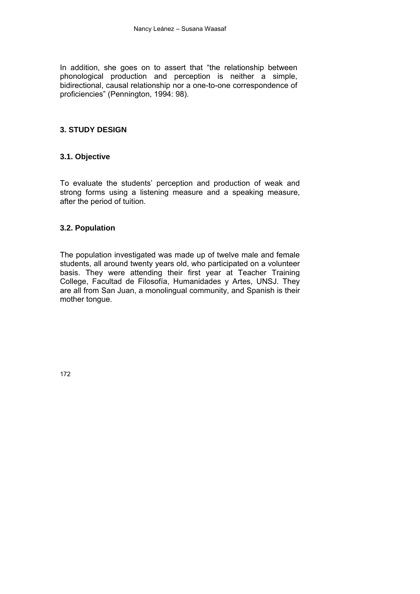In addition, she goes on to assert that "the relationship between phonological production and perception is neither a simple, bidirectional, causal relationship nor a one-to-one correspondence of proficiencies" (Pennington, 1994: 98).

## **3. STUDY DESIGN**

## **3.1. Objective**

To evaluate the students' perception and production of weak and strong forms using a listening measure and a speaking measure, after the period of tuition.

## **3.2. Population**

The population investigated was made up of twelve male and female students, all around twenty years old, who participated on a volunteer basis. They were attending their first year at Teacher Training College, Facultad de Filosofía, Humanidades y Artes, UNSJ. They are all from San Juan, a monolingual community, and Spanish is their mother tongue.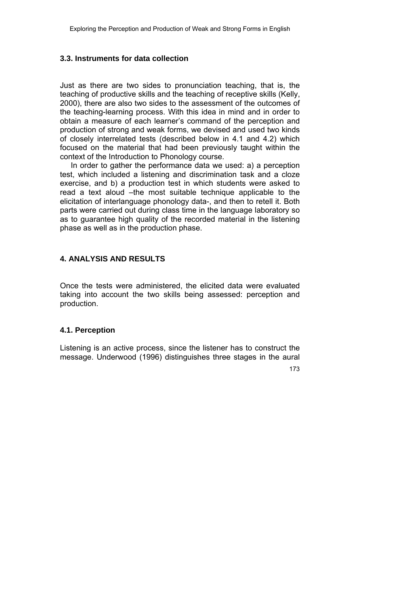## **3.3. Instruments for data collection**

Just as there are two sides to pronunciation teaching, that is, the teaching of productive skills and the teaching of receptive skills (Kelly, 2000), there are also two sides to the assessment of the outcomes of the teaching-learning process. With this idea in mind and in order to obtain a measure of each learner's command of the perception and production of strong and weak forms, we devised and used two kinds of closely interrelated tests (described below in 4.1 and 4.2) which focused on the material that had been previously taught within the context of the Introduction to Phonology course.

 In order to gather the performance data we used: a) a perception test, which included a listening and discrimination task and a cloze exercise, and b) a production test in which students were asked to read a text aloud –the most suitable technique applicable to the elicitation of interlanguage phonology data-, and then to retell it. Both parts were carried out during class time in the language laboratory so as to guarantee high quality of the recorded material in the listening phase as well as in the production phase.

## **4. ANALYSIS AND RESULTS**

Once the tests were administered, the elicited data were evaluated taking into account the two skills being assessed: perception and production.

#### **4.1. Perception**

Listening is an active process, since the listener has to construct the message. Underwood (1996) distinguishes three stages in the aural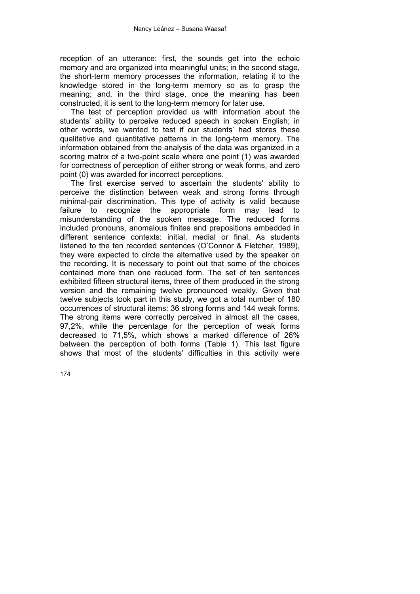reception of an utterance: first, the sounds get into the echoic memory and are organized into meaningful units; in the second stage, the short-term memory processes the information, relating it to the knowledge stored in the long-term memory so as to grasp the meaning; and, in the third stage, once the meaning has been constructed, it is sent to the long-term memory for later use.

 The test of perception provided us with information about the students' ability to perceive reduced speech in spoken English; in other words, we wanted to test if our students' had stores these qualitative and quantitative patterns in the long-term memory. The information obtained from the analysis of the data was organized in a scoring matrix of a two-point scale where one point (1) was awarded for correctness of perception of either strong or weak forms, and zero point (0) was awarded for incorrect perceptions.

 The first exercise served to ascertain the students' ability to perceive the distinction between weak and strong forms through minimal-pair discrimination. This type of activity is valid because failure to recognize the appropriate form may lead to misunderstanding of the spoken message. The reduced forms included pronouns, anomalous finites and prepositions embedded in different sentence contexts: initial, medial or final. As students listened to the ten recorded sentences (O'Connor & Fletcher, 1989), they were expected to circle the alternative used by the speaker on the recording. It is necessary to point out that some of the choices contained more than one reduced form. The set of ten sentences exhibited fifteen structural items, three of them produced in the strong version and the remaining twelve pronounced weakly. Given that twelve subjects took part in this study, we got a total number of 180 occurrences of structural items: 36 strong forms and 144 weak forms. The strong items were correctly perceived in almost all the cases, 97,2%, while the percentage for the perception of weak forms decreased to 71,5%, which shows a marked difference of 26% between the perception of both forms (Table 1). This last figure shows that most of the students' difficulties in this activity were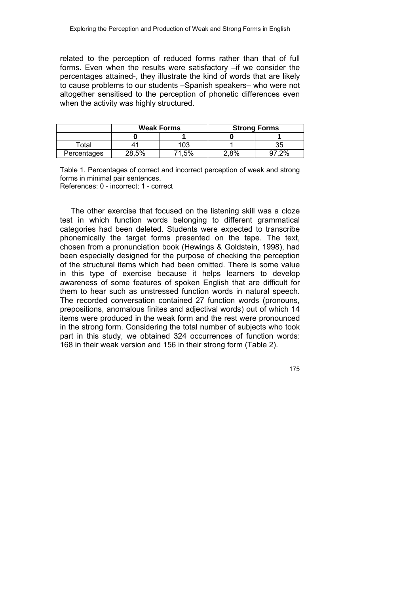related to the perception of reduced forms rather than that of full forms. Even when the results were satisfactory –if we consider the percentages attained-, they illustrate the kind of words that are likely to cause problems to our students –Spanish speakers– who were not altogether sensitised to the perception of phonetic differences even when the activity was highly structured.

|             | <b>Weak Forms</b> |     | <b>Strong Forms</b> |    |
|-------------|-------------------|-----|---------------------|----|
|             |                   |     |                     |    |
| otal        |                   | 103 |                     | აე |
| Percentages | 28.5%             | .5% | 8%                  | 2% |

Table 1. Percentages of correct and incorrect perception of weak and strong forms in minimal pair sentences. References: 0 - incorrect; 1 - correct

 The other exercise that focused on the listening skill was a cloze test in which function words belonging to different grammatical categories had been deleted. Students were expected to transcribe phonemically the target forms presented on the tape. The text, chosen from a pronunciation book (Hewings & Goldstein, 1998), had been especially designed for the purpose of checking the perception of the structural items which had been omitted. There is some value in this type of exercise because it helps learners to develop awareness of some features of spoken English that are difficult for them to hear such as unstressed function words in natural speech. The recorded conversation contained 27 function words (pronouns, prepositions, anomalous finites and adjectival words) out of which 14 items were produced in the weak form and the rest were pronounced in the strong form. Considering the total number of subjects who took part in this study, we obtained 324 occurrences of function words: 168 in their weak version and 156 in their strong form (Table 2).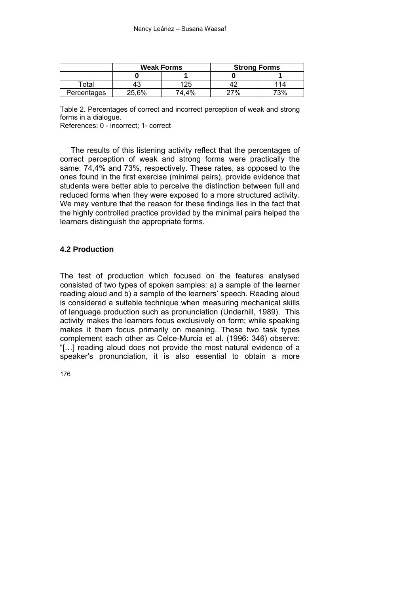|                   | <b>Weak Forms</b> |       | <b>Strong Forms</b> |     |
|-------------------|-------------------|-------|---------------------|-----|
|                   |                   |       |                     |     |
| <sup>-</sup> otal | 43                |       |                     |     |
| Percentages       | 25,6%             | 74 4% | 7%                  | 73% |

Table 2. Percentages of correct and incorrect perception of weak and strong forms in a dialogue.

References: 0 - incorrect; 1- correct

 The results of this listening activity reflect that the percentages of correct perception of weak and strong forms were practically the same: 74,4% and 73%, respectively. These rates, as opposed to the ones found in the first exercise (minimal pairs), provide evidence that students were better able to perceive the distinction between full and reduced forms when they were exposed to a more structured activity. We may venture that the reason for these findings lies in the fact that the highly controlled practice provided by the minimal pairs helped the learners distinguish the appropriate forms.

#### **4.2 Production**

The test of production which focused on the features analysed consisted of two types of spoken samples: a) a sample of the learner reading aloud and b) a sample of the learners' speech. Reading aloud is considered a suitable technique when measuring mechanical skills of language production such as pronunciation (Underhill, 1989). This activity makes the learners focus exclusively on form; while speaking makes it them focus primarily on meaning. These two task types complement each other as Celce-Murcia et al. (1996: 346) observe: "[…] reading aloud does not provide the most natural evidence of a speaker's pronunciation, it is also essential to obtain a more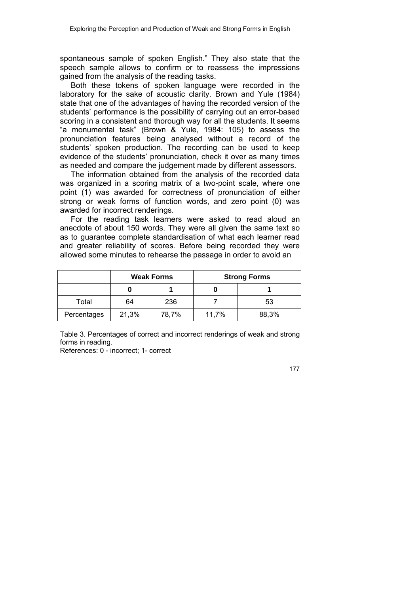spontaneous sample of spoken English." They also state that the speech sample allows to confirm or to reassess the impressions gained from the analysis of the reading tasks.

 Both these tokens of spoken language were recorded in the laboratory for the sake of acoustic clarity. Brown and Yule (1984) state that one of the advantages of having the recorded version of the students' performance is the possibility of carrying out an error-based scoring in a consistent and thorough way for all the students. It seems "a monumental task" (Brown & Yule, 1984: 105) to assess the pronunciation features being analysed without a record of the students' spoken production. The recording can be used to keep evidence of the students' pronunciation, check it over as many times as needed and compare the judgement made by different assessors.

 The information obtained from the analysis of the recorded data was organized in a scoring matrix of a two-point scale, where one point (1) was awarded for correctness of pronunciation of either strong or weak forms of function words, and zero point (0) was awarded for incorrect renderings.

 For the reading task learners were asked to read aloud an anecdote of about 150 words. They were all given the same text so as to guarantee complete standardisation of what each learner read and greater reliability of scores. Before being recorded they were allowed some minutes to rehearse the passage in order to avoid an

|             | <b>Weak Forms</b> |       | <b>Strong Forms</b> |       |
|-------------|-------------------|-------|---------------------|-------|
|             |                   |       |                     |       |
| Total       | 64                | 236   |                     | 53    |
| Percentages | 21,3%             | 78,7% | 11,7%               | 88,3% |

Table 3. Percentages of correct and incorrect renderings of weak and strong forms in reading.

References: 0 - incorrect; 1- correct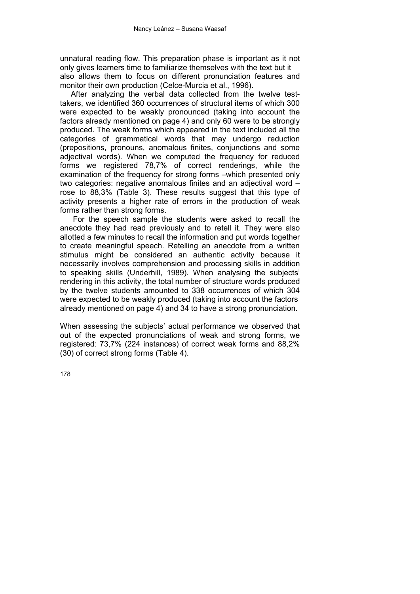unnatural reading flow. This preparation phase is important as it not only gives learners time to familiarize themselves with the text but it also allows them to focus on different pronunciation features and monitor their own production (Celce-Murcia et al., 1996).

 After analyzing the verbal data collected from the twelve testtakers, we identified 360 occurrences of structural items of which 300 were expected to be weakly pronounced (taking into account the factors already mentioned on page 4) and only 60 were to be strongly produced. The weak forms which appeared in the text included all the categories of grammatical words that may undergo reduction (prepositions, pronouns, anomalous finites, conjunctions and some adjectival words). When we computed the frequency for reduced forms we registered 78,7% of correct renderings, while the examination of the frequency for strong forms –which presented only two categories: negative anomalous finites and an adjectival word – rose to 88,3% (Table 3). These results suggest that this type of activity presents a higher rate of errors in the production of weak forms rather than strong forms.

 For the speech sample the students were asked to recall the anecdote they had read previously and to retell it. They were also allotted a few minutes to recall the information and put words together to create meaningful speech. Retelling an anecdote from a written stimulus might be considered an authentic activity because it necessarily involves comprehension and processing skills in addition to speaking skills (Underhill, 1989). When analysing the subjects' rendering in this activity, the total number of structure words produced by the twelve students amounted to 338 occurrences of which 304 were expected to be weakly produced (taking into account the factors already mentioned on page 4) and 34 to have a strong pronunciation.

When assessing the subjects' actual performance we observed that out of the expected pronunciations of weak and strong forms, we registered: 73,7% (224 instances) of correct weak forms and 88,2% (30) of correct strong forms (Table 4).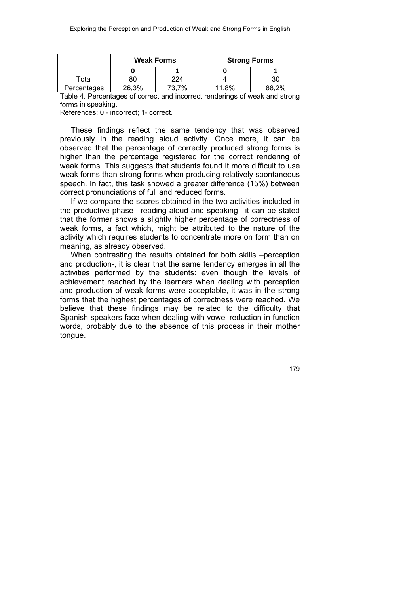|             | <b>Weak Forms</b> |     | <b>Strong Forms</b> |    |
|-------------|-------------------|-----|---------------------|----|
|             |                   |     |                     |    |
| ⊺otal       |                   | 224 |                     | 30 |
| Percentages | 26,3%             | 7%  | 8%                  | 2% |

Table 4. Percentages of correct and incorrect renderings of weak and strong forms in speaking.

References: 0 - incorrect; 1- correct.

 These findings reflect the same tendency that was observed previously in the reading aloud activity. Once more, it can be observed that the percentage of correctly produced strong forms is higher than the percentage registered for the correct rendering of weak forms. This suggests that students found it more difficult to use weak forms than strong forms when producing relatively spontaneous speech. In fact, this task showed a greater difference (15%) between correct pronunciations of full and reduced forms.

 If we compare the scores obtained in the two activities included in the productive phase –reading aloud and speaking– it can be stated that the former shows a slightly higher percentage of correctness of weak forms, a fact which, might be attributed to the nature of the activity which requires students to concentrate more on form than on meaning, as already observed.

When contrasting the results obtained for both skills –perception and production-, it is clear that the same tendency emerges in all the activities performed by the students: even though the levels of achievement reached by the learners when dealing with perception and production of weak forms were acceptable, it was in the strong forms that the highest percentages of correctness were reached. We believe that these findings may be related to the difficulty that Spanish speakers face when dealing with vowel reduction in function words, probably due to the absence of this process in their mother tongue.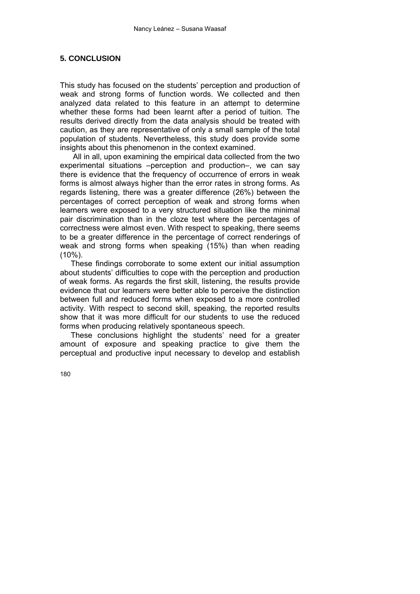## **5. CONCLUSION**

This study has focused on the students' perception and production of weak and strong forms of function words. We collected and then analyzed data related to this feature in an attempt to determine whether these forms had been learnt after a period of tuition. The results derived directly from the data analysis should be treated with caution, as they are representative of only a small sample of the total population of students. Nevertheless, this study does provide some insights about this phenomenon in the context examined.

 All in all, upon examining the empirical data collected from the two experimental situations –perception and production–, we can say there is evidence that the frequency of occurrence of errors in weak forms is almost always higher than the error rates in strong forms. As regards listening, there was a greater difference (26%) between the percentages of correct perception of weak and strong forms when learners were exposed to a very structured situation like the minimal pair discrimination than in the cloze test where the percentages of correctness were almost even. With respect to speaking, there seems to be a greater difference in the percentage of correct renderings of weak and strong forms when speaking (15%) than when reading  $(10\%)$ .

 These findings corroborate to some extent our initial assumption about students' difficulties to cope with the perception and production of weak forms. As regards the first skill, listening, the results provide evidence that our learners were better able to perceive the distinction between full and reduced forms when exposed to a more controlled activity. With respect to second skill, speaking, the reported results show that it was more difficult for our students to use the reduced forms when producing relatively spontaneous speech.

 These conclusions highlight the students' need for a greater amount of exposure and speaking practice to give them the perceptual and productive input necessary to develop and establish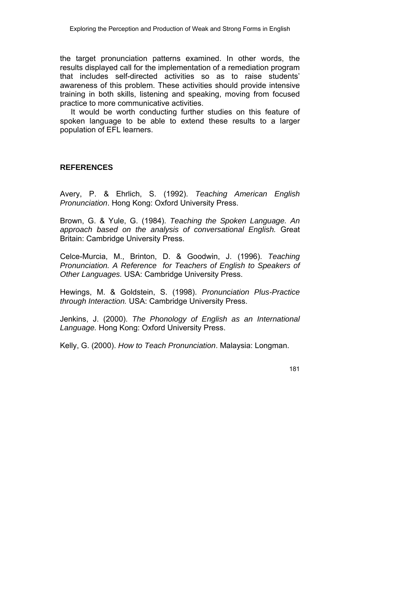the target pronunciation patterns examined. In other words, the results displayed call for the implementation of a remediation program that includes self-directed activities so as to raise students' awareness of this problem. These activities should provide intensive training in both skills, listening and speaking, moving from focused practice to more communicative activities.

 It would be worth conducting further studies on this feature of spoken language to be able to extend these results to a larger population of EFL learners.

#### **REFERENCES**

Avery, P. & Ehrlich, S. (1992). *Teaching American English Pronunciation*. Hong Kong: Oxford University Press.

Brown, G. & Yule, G. (1984). *Teaching the Spoken Language. An approach based on the analysis of conversational English.* Great Britain: Cambridge University Press.

Celce-Murcia, M., Brinton, D. & Goodwin, J. (1996). *Teaching Pronunciation. A Reference for Teachers of English to Speakers of Other Languages.* USA: Cambridge University Press.

Hewings, M. & Goldstein, S. (1998). *Pronunciation Plus-Practice through Interaction.* USA: Cambridge University Press.

Jenkins, J. (2000). *The Phonology of English as an International Language.* Hong Kong: Oxford University Press.

Kelly, G. (2000). *How to Teach Pronunciation*. Malaysia: Longman.